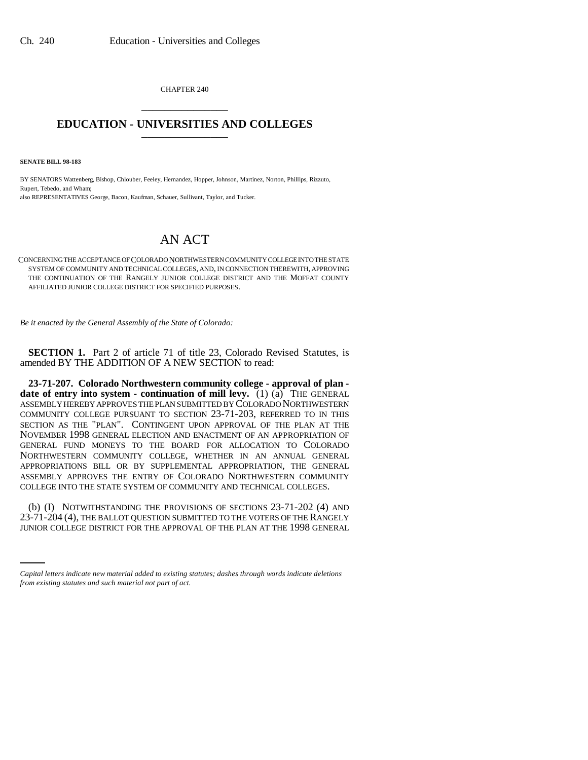CHAPTER 240 \_\_\_\_\_\_\_\_\_\_\_\_\_\_\_

## **EDUCATION - UNIVERSITIES AND COLLEGES** \_\_\_\_\_\_\_\_\_\_\_\_\_\_\_

**SENATE BILL 98-183**

BY SENATORS Wattenberg, Bishop, Chlouber, Feeley, Hernandez, Hopper, Johnson, Martinez, Norton, Phillips, Rizzuto, Rupert, Tebedo, and Wham; also REPRESENTATIVES George, Bacon, Kaufman, Schauer, Sullivant, Taylor, and Tucker.

## AN ACT

CONCERNING THE ACCEPTANCE OF COLORADO NORTHWESTERN COMMUNITY COLLEGE INTO THE STATE SYSTEM OF COMMUNITY AND TECHNICAL COLLEGES, AND, IN CONNECTION THEREWITH, APPROVING THE CONTINUATION OF THE RANGELY JUNIOR COLLEGE DISTRICT AND THE MOFFAT COUNTY AFFILIATED JUNIOR COLLEGE DISTRICT FOR SPECIFIED PURPOSES.

*Be it enacted by the General Assembly of the State of Colorado:*

**SECTION 1.** Part 2 of article 71 of title 23, Colorado Revised Statutes, is amended BY THE ADDITION OF A NEW SECTION to read:

**23-71-207. Colorado Northwestern community college - approval of plan date of entry into system - continuation of mill levy.** (1) (a) THE GENERAL ASSEMBLY HEREBY APPROVES THE PLAN SUBMITTED BY COLORADO NORTHWESTERN COMMUNITY COLLEGE PURSUANT TO SECTION 23-71-203, REFERRED TO IN THIS SECTION AS THE "PLAN". CONTINGENT UPON APPROVAL OF THE PLAN AT THE NOVEMBER 1998 GENERAL ELECTION AND ENACTMENT OF AN APPROPRIATION OF GENERAL FUND MONEYS TO THE BOARD FOR ALLOCATION TO COLORADO NORTHWESTERN COMMUNITY COLLEGE, WHETHER IN AN ANNUAL GENERAL APPROPRIATIONS BILL OR BY SUPPLEMENTAL APPROPRIATION, THE GENERAL ASSEMBLY APPROVES THE ENTRY OF COLORADO NORTHWESTERN COMMUNITY COLLEGE INTO THE STATE SYSTEM OF COMMUNITY AND TECHNICAL COLLEGES.

(b) (1) INOTWITHSTANDING THE FROVISIONS OF SECTIONS 25-71-202 (+) AND<br>23-71-204 (4), THE BALLOT QUESTION SUBMITTED TO THE VOTERS OF THE RANGELY (b) (I) NOTWITHSTANDING THE PROVISIONS OF SECTIONS 23-71-202 (4) AND JUNIOR COLLEGE DISTRICT FOR THE APPROVAL OF THE PLAN AT THE 1998 GENERAL

*Capital letters indicate new material added to existing statutes; dashes through words indicate deletions from existing statutes and such material not part of act.*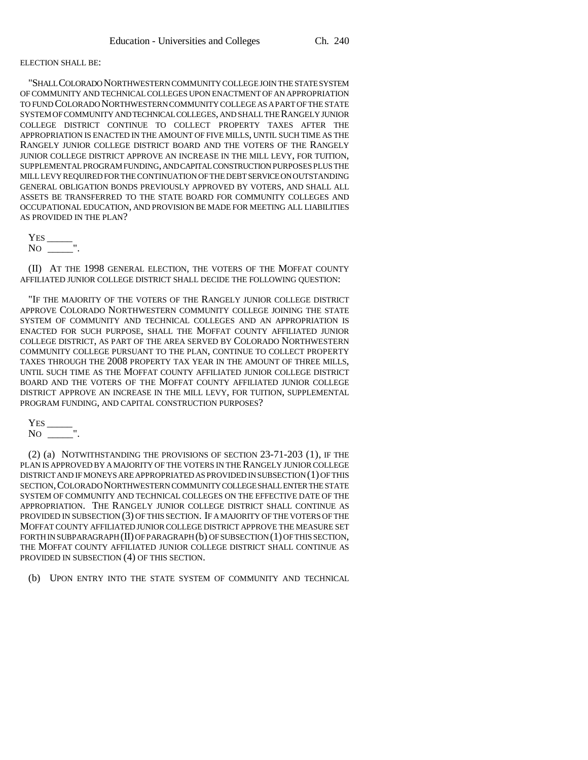## ELECTION SHALL BE:

"SHALL COLORADO NORTHWESTERN COMMUNITY COLLEGE JOIN THE STATE SYSTEM OF COMMUNITY AND TECHNICAL COLLEGES UPON ENACTMENT OF AN APPROPRIATION TO FUND COLORADO NORTHWESTERN COMMUNITY COLLEGE AS A PART OF THE STATE SYSTEM OF COMMUNITY AND TECHNICAL COLLEGES, AND SHALL THE RANGELY JUNIOR COLLEGE DISTRICT CONTINUE TO COLLECT PROPERTY TAXES AFTER THE APPROPRIATION IS ENACTED IN THE AMOUNT OF FIVE MILLS, UNTIL SUCH TIME AS THE RANGELY JUNIOR COLLEGE DISTRICT BOARD AND THE VOTERS OF THE RANGELY JUNIOR COLLEGE DISTRICT APPROVE AN INCREASE IN THE MILL LEVY, FOR TUITION, SUPPLEMENTAL PROGRAM FUNDING, AND CAPITAL CONSTRUCTION PURPOSES PLUS THE MILL LEVY REQUIRED FOR THE CONTINUATION OF THE DEBT SERVICE ON OUTSTANDING GENERAL OBLIGATION BONDS PREVIOUSLY APPROVED BY VOTERS, AND SHALL ALL ASSETS BE TRANSFERRED TO THE STATE BOARD FOR COMMUNITY COLLEGES AND OCCUPATIONAL EDUCATION, AND PROVISION BE MADE FOR MEETING ALL LIABILITIES AS PROVIDED IN THE PLAN?

YES \_\_\_\_\_ NO \_\_\_\_\_".

(II) AT THE 1998 GENERAL ELECTION, THE VOTERS OF THE MOFFAT COUNTY AFFILIATED JUNIOR COLLEGE DISTRICT SHALL DECIDE THE FOLLOWING QUESTION:

"IF THE MAJORITY OF THE VOTERS OF THE RANGELY JUNIOR COLLEGE DISTRICT APPROVE COLORADO NORTHWESTERN COMMUNITY COLLEGE JOINING THE STATE SYSTEM OF COMMUNITY AND TECHNICAL COLLEGES AND AN APPROPRIATION IS ENACTED FOR SUCH PURPOSE, SHALL THE MOFFAT COUNTY AFFILIATED JUNIOR COLLEGE DISTRICT, AS PART OF THE AREA SERVED BY COLORADO NORTHWESTERN COMMUNITY COLLEGE PURSUANT TO THE PLAN, CONTINUE TO COLLECT PROPERTY TAXES THROUGH THE 2008 PROPERTY TAX YEAR IN THE AMOUNT OF THREE MILLS, UNTIL SUCH TIME AS THE MOFFAT COUNTY AFFILIATED JUNIOR COLLEGE DISTRICT BOARD AND THE VOTERS OF THE MOFFAT COUNTY AFFILIATED JUNIOR COLLEGE DISTRICT APPROVE AN INCREASE IN THE MILL LEVY, FOR TUITION, SUPPLEMENTAL PROGRAM FUNDING, AND CAPITAL CONSTRUCTION PURPOSES?

YES \_\_\_\_\_ NO \_\_\_\_\_".

(2) (a) NOTWITHSTANDING THE PROVISIONS OF SECTION 23-71-203 (1), IF THE PLAN IS APPROVED BY A MAJORITY OF THE VOTERS IN THE RANGELY JUNIOR COLLEGE DISTRICT AND IF MONEYS ARE APPROPRIATED AS PROVIDED IN SUBSECTION (1) OF THIS SECTION,COLORADO NORTHWESTERN COMMUNITY COLLEGE SHALL ENTER THE STATE SYSTEM OF COMMUNITY AND TECHNICAL COLLEGES ON THE EFFECTIVE DATE OF THE APPROPRIATION. THE RANGELY JUNIOR COLLEGE DISTRICT SHALL CONTINUE AS PROVIDED IN SUBSECTION (3) OF THIS SECTION. IF A MAJORITY OF THE VOTERS OF THE MOFFAT COUNTY AFFILIATED JUNIOR COLLEGE DISTRICT APPROVE THE MEASURE SET FORTH IN SUBPARAGRAPH (II) OF PARAGRAPH (b) OF SUBSECTION (1) OF THIS SECTION, THE MOFFAT COUNTY AFFILIATED JUNIOR COLLEGE DISTRICT SHALL CONTINUE AS PROVIDED IN SUBSECTION (4) OF THIS SECTION.

(b) UPON ENTRY INTO THE STATE SYSTEM OF COMMUNITY AND TECHNICAL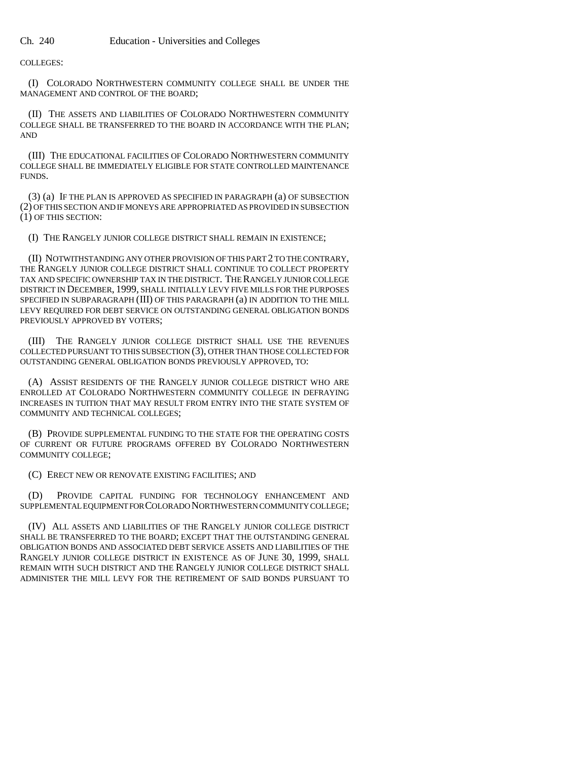COLLEGES:

(I) COLORADO NORTHWESTERN COMMUNITY COLLEGE SHALL BE UNDER THE MANAGEMENT AND CONTROL OF THE BOARD;

(II) THE ASSETS AND LIABILITIES OF COLORADO NORTHWESTERN COMMUNITY COLLEGE SHALL BE TRANSFERRED TO THE BOARD IN ACCORDANCE WITH THE PLAN; AND

(III) THE EDUCATIONAL FACILITIES OF COLORADO NORTHWESTERN COMMUNITY COLLEGE SHALL BE IMMEDIATELY ELIGIBLE FOR STATE CONTROLLED MAINTENANCE FUNDS.

(3) (a) IF THE PLAN IS APPROVED AS SPECIFIED IN PARAGRAPH (a) OF SUBSECTION (2) OF THIS SECTION AND IF MONEYS ARE APPROPRIATED AS PROVIDED IN SUBSECTION (1) OF THIS SECTION:

(I) THE RANGELY JUNIOR COLLEGE DISTRICT SHALL REMAIN IN EXISTENCE;

(II) NOTWITHSTANDING ANY OTHER PROVISION OF THIS PART 2 TO THE CONTRARY, THE RANGELY JUNIOR COLLEGE DISTRICT SHALL CONTINUE TO COLLECT PROPERTY TAX AND SPECIFIC OWNERSHIP TAX IN THE DISTRICT. THE RANGELY JUNIOR COLLEGE DISTRICT IN DECEMBER, 1999, SHALL INITIALLY LEVY FIVE MILLS FOR THE PURPOSES SPECIFIED IN SUBPARAGRAPH (III) OF THIS PARAGRAPH (a) IN ADDITION TO THE MILL LEVY REQUIRED FOR DEBT SERVICE ON OUTSTANDING GENERAL OBLIGATION BONDS PREVIOUSLY APPROVED BY VOTERS;

(III) THE RANGELY JUNIOR COLLEGE DISTRICT SHALL USE THE REVENUES COLLECTED PURSUANT TO THIS SUBSECTION (3), OTHER THAN THOSE COLLECTED FOR OUTSTANDING GENERAL OBLIGATION BONDS PREVIOUSLY APPROVED, TO:

(A) ASSIST RESIDENTS OF THE RANGELY JUNIOR COLLEGE DISTRICT WHO ARE ENROLLED AT COLORADO NORTHWESTERN COMMUNITY COLLEGE IN DEFRAYING INCREASES IN TUITION THAT MAY RESULT FROM ENTRY INTO THE STATE SYSTEM OF COMMUNITY AND TECHNICAL COLLEGES;

(B) PROVIDE SUPPLEMENTAL FUNDING TO THE STATE FOR THE OPERATING COSTS OF CURRENT OR FUTURE PROGRAMS OFFERED BY COLORADO NORTHWESTERN COMMUNITY COLLEGE;

(C) ERECT NEW OR RENOVATE EXISTING FACILITIES; AND

(D) PROVIDE CAPITAL FUNDING FOR TECHNOLOGY ENHANCEMENT AND SUPPLEMENTAL EQUIPMENT FOR COLORADO NORTHWESTERN COMMUNITY COLLEGE;

(IV) ALL ASSETS AND LIABILITIES OF THE RANGELY JUNIOR COLLEGE DISTRICT SHALL BE TRANSFERRED TO THE BOARD; EXCEPT THAT THE OUTSTANDING GENERAL OBLIGATION BONDS AND ASSOCIATED DEBT SERVICE ASSETS AND LIABILITIES OF THE RANGELY JUNIOR COLLEGE DISTRICT IN EXISTENCE AS OF JUNE 30, 1999, SHALL REMAIN WITH SUCH DISTRICT AND THE RANGELY JUNIOR COLLEGE DISTRICT SHALL ADMINISTER THE MILL LEVY FOR THE RETIREMENT OF SAID BONDS PURSUANT TO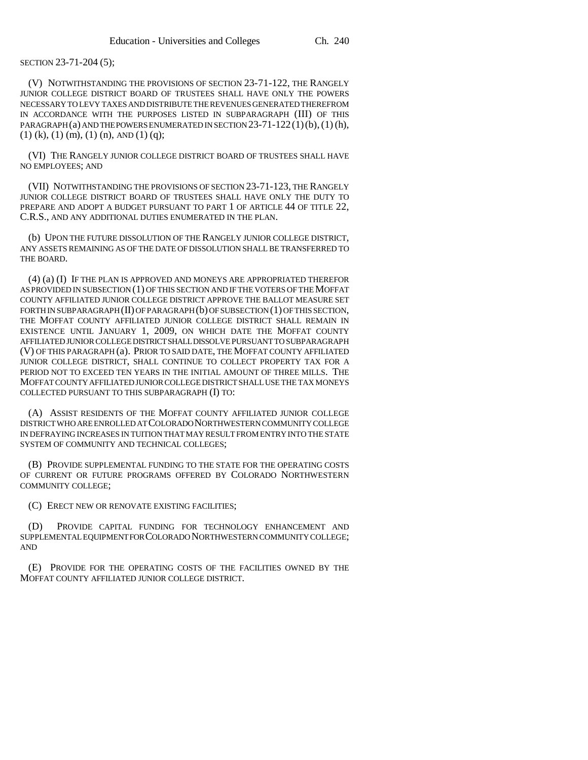## SECTION 23-71-204 (5);

(V) NOTWITHSTANDING THE PROVISIONS OF SECTION 23-71-122, THE RANGELY JUNIOR COLLEGE DISTRICT BOARD OF TRUSTEES SHALL HAVE ONLY THE POWERS NECESSARY TO LEVY TAXES AND DISTRIBUTE THE REVENUES GENERATED THEREFROM IN ACCORDANCE WITH THE PURPOSES LISTED IN SUBPARAGRAPH (III) OF THIS PARAGRAPH (a) AND THE POWERS ENUMERATED IN SECTION  $23-71-122(1)(b)$ , (1) (h),  $(1)$  (k),  $(1)$  (m),  $(1)$  (n), AND  $(1)$  (q);

(VI) THE RANGELY JUNIOR COLLEGE DISTRICT BOARD OF TRUSTEES SHALL HAVE NO EMPLOYEES; AND

(VII) NOTWITHSTANDING THE PROVISIONS OF SECTION 23-71-123, THE RANGELY JUNIOR COLLEGE DISTRICT BOARD OF TRUSTEES SHALL HAVE ONLY THE DUTY TO PREPARE AND ADOPT A BUDGET PURSUANT TO PART 1 OF ARTICLE 44 OF TITLE 22, C.R.S., AND ANY ADDITIONAL DUTIES ENUMERATED IN THE PLAN.

(b) UPON THE FUTURE DISSOLUTION OF THE RANGELY JUNIOR COLLEGE DISTRICT, ANY ASSETS REMAINING AS OF THE DATE OF DISSOLUTION SHALL BE TRANSFERRED TO THE BOARD.

(4) (a) (I) IF THE PLAN IS APPROVED AND MONEYS ARE APPROPRIATED THEREFOR AS PROVIDED IN SUBSECTION (1) OF THIS SECTION AND IF THE VOTERS OF THE MOFFAT COUNTY AFFILIATED JUNIOR COLLEGE DISTRICT APPROVE THE BALLOT MEASURE SET FORTH IN SUBPARAGRAPH (II) OF PARAGRAPH (b) OF SUBSECTION (1) OF THIS SECTION, THE MOFFAT COUNTY AFFILIATED JUNIOR COLLEGE DISTRICT SHALL REMAIN IN EXISTENCE UNTIL JANUARY 1, 2009, ON WHICH DATE THE MOFFAT COUNTY AFFILIATED JUNIOR COLLEGE DISTRICT SHALL DISSOLVE PURSUANT TO SUBPARAGRAPH (V) OF THIS PARAGRAPH (a). PRIOR TO SAID DATE, THE MOFFAT COUNTY AFFILIATED JUNIOR COLLEGE DISTRICT, SHALL CONTINUE TO COLLECT PROPERTY TAX FOR A PERIOD NOT TO EXCEED TEN YEARS IN THE INITIAL AMOUNT OF THREE MILLS. THE MOFFAT COUNTY AFFILIATED JUNIOR COLLEGE DISTRICT SHALL USE THE TAX MONEYS COLLECTED PURSUANT TO THIS SUBPARAGRAPH (I) TO:

(A) ASSIST RESIDENTS OF THE MOFFAT COUNTY AFFILIATED JUNIOR COLLEGE DISTRICT WHO ARE ENROLLED AT COLORADO NORTHWESTERN COMMUNITY COLLEGE IN DEFRAYING INCREASES IN TUITION THAT MAY RESULT FROM ENTRY INTO THE STATE SYSTEM OF COMMUNITY AND TECHNICAL COLLEGES;

(B) PROVIDE SUPPLEMENTAL FUNDING TO THE STATE FOR THE OPERATING COSTS OF CURRENT OR FUTURE PROGRAMS OFFERED BY COLORADO NORTHWESTERN COMMUNITY COLLEGE;

(C) ERECT NEW OR RENOVATE EXISTING FACILITIES;

PROVIDE CAPITAL FUNDING FOR TECHNOLOGY ENHANCEMENT AND SUPPLEMENTAL EQUIPMENT FOR COLORADO NORTHWESTERN COMMUNITY COLLEGE; AND

(E) PROVIDE FOR THE OPERATING COSTS OF THE FACILITIES OWNED BY THE MOFFAT COUNTY AFFILIATED JUNIOR COLLEGE DISTRICT.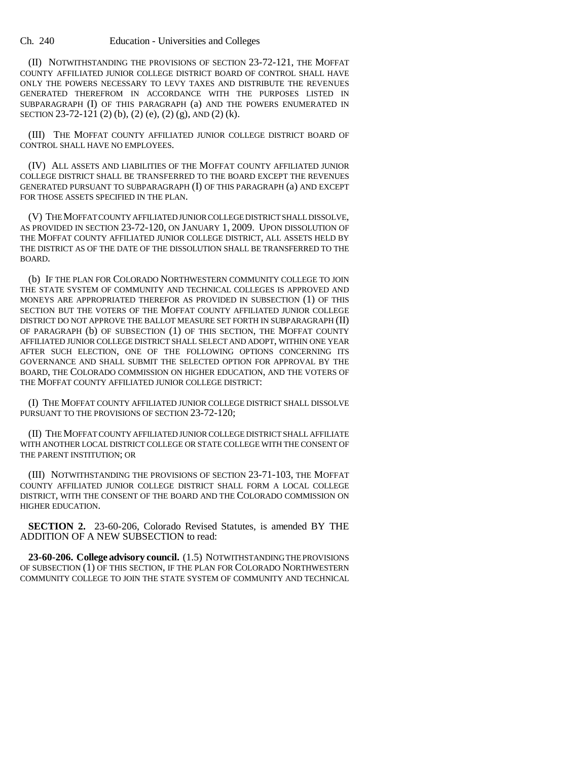(II) NOTWITHSTANDING THE PROVISIONS OF SECTION 23-72-121, THE MOFFAT COUNTY AFFILIATED JUNIOR COLLEGE DISTRICT BOARD OF CONTROL SHALL HAVE ONLY THE POWERS NECESSARY TO LEVY TAXES AND DISTRIBUTE THE REVENUES GENERATED THEREFROM IN ACCORDANCE WITH THE PURPOSES LISTED IN SUBPARAGRAPH (I) OF THIS PARAGRAPH (a) AND THE POWERS ENUMERATED IN SECTION 23-72-121 (2) (b), (2) (e), (2) (g), AND (2) (k).

(III) THE MOFFAT COUNTY AFFILIATED JUNIOR COLLEGE DISTRICT BOARD OF CONTROL SHALL HAVE NO EMPLOYEES.

(IV) ALL ASSETS AND LIABILITIES OF THE MOFFAT COUNTY AFFILIATED JUNIOR COLLEGE DISTRICT SHALL BE TRANSFERRED TO THE BOARD EXCEPT THE REVENUES GENERATED PURSUANT TO SUBPARAGRAPH (I) OF THIS PARAGRAPH (a) AND EXCEPT FOR THOSE ASSETS SPECIFIED IN THE PLAN.

(V) THE MOFFAT COUNTY AFFILIATED JUNIOR COLLEGE DISTRICT SHALL DISSOLVE, AS PROVIDED IN SECTION 23-72-120, ON JANUARY 1, 2009. UPON DISSOLUTION OF THE MOFFAT COUNTY AFFILIATED JUNIOR COLLEGE DISTRICT, ALL ASSETS HELD BY THE DISTRICT AS OF THE DATE OF THE DISSOLUTION SHALL BE TRANSFERRED TO THE BOARD.

(b) IF THE PLAN FOR COLORADO NORTHWESTERN COMMUNITY COLLEGE TO JOIN THE STATE SYSTEM OF COMMUNITY AND TECHNICAL COLLEGES IS APPROVED AND MONEYS ARE APPROPRIATED THEREFOR AS PROVIDED IN SUBSECTION (1) OF THIS SECTION BUT THE VOTERS OF THE MOFFAT COUNTY AFFILIATED JUNIOR COLLEGE DISTRICT DO NOT APPROVE THE BALLOT MEASURE SET FORTH IN SUBPARAGRAPH (II) OF PARAGRAPH (b) OF SUBSECTION (1) OF THIS SECTION, THE MOFFAT COUNTY AFFILIATED JUNIOR COLLEGE DISTRICT SHALL SELECT AND ADOPT, WITHIN ONE YEAR AFTER SUCH ELECTION, ONE OF THE FOLLOWING OPTIONS CONCERNING ITS GOVERNANCE AND SHALL SUBMIT THE SELECTED OPTION FOR APPROVAL BY THE BOARD, THE COLORADO COMMISSION ON HIGHER EDUCATION, AND THE VOTERS OF THE MOFFAT COUNTY AFFILIATED JUNIOR COLLEGE DISTRICT:

(I) THE MOFFAT COUNTY AFFILIATED JUNIOR COLLEGE DISTRICT SHALL DISSOLVE PURSUANT TO THE PROVISIONS OF SECTION 23-72-120;

(II) THE MOFFAT COUNTY AFFILIATED JUNIOR COLLEGE DISTRICT SHALL AFFILIATE WITH ANOTHER LOCAL DISTRICT COLLEGE OR STATE COLLEGE WITH THE CONSENT OF THE PARENT INSTITUTION; OR

(III) NOTWITHSTANDING THE PROVISIONS OF SECTION 23-71-103, THE MOFFAT COUNTY AFFILIATED JUNIOR COLLEGE DISTRICT SHALL FORM A LOCAL COLLEGE DISTRICT, WITH THE CONSENT OF THE BOARD AND THE COLORADO COMMISSION ON HIGHER EDUCATION.

**SECTION 2.** 23-60-206, Colorado Revised Statutes, is amended BY THE ADDITION OF A NEW SUBSECTION to read:

**23-60-206. College advisory council.** (1.5) NOTWITHSTANDING THE PROVISIONS OF SUBSECTION (1) OF THIS SECTION, IF THE PLAN FOR COLORADO NORTHWESTERN COMMUNITY COLLEGE TO JOIN THE STATE SYSTEM OF COMMUNITY AND TECHNICAL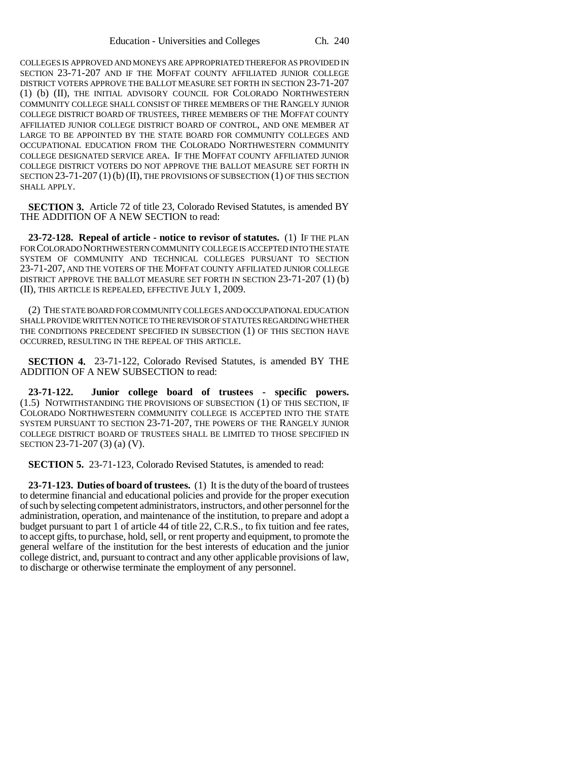COLLEGES IS APPROVED AND MONEYS ARE APPROPRIATED THEREFOR AS PROVIDED IN SECTION 23-71-207 AND IF THE MOFFAT COUNTY AFFILIATED JUNIOR COLLEGE DISTRICT VOTERS APPROVE THE BALLOT MEASURE SET FORTH IN SECTION 23-71-207 (1) (b) (II), THE INITIAL ADVISORY COUNCIL FOR COLORADO NORTHWESTERN COMMUNITY COLLEGE SHALL CONSIST OF THREE MEMBERS OF THE RANGELY JUNIOR COLLEGE DISTRICT BOARD OF TRUSTEES, THREE MEMBERS OF THE MOFFAT COUNTY AFFILIATED JUNIOR COLLEGE DISTRICT BOARD OF CONTROL, AND ONE MEMBER AT LARGE TO BE APPOINTED BY THE STATE BOARD FOR COMMUNITY COLLEGES AND OCCUPATIONAL EDUCATION FROM THE COLORADO NORTHWESTERN COMMUNITY COLLEGE DESIGNATED SERVICE AREA. IF THE MOFFAT COUNTY AFFILIATED JUNIOR COLLEGE DISTRICT VOTERS DO NOT APPROVE THE BALLOT MEASURE SET FORTH IN SECTION 23-71-207 (1) (b) (II), THE PROVISIONS OF SUBSECTION (1) OF THIS SECTION SHALL APPLY.

**SECTION 3.** Article 72 of title 23, Colorado Revised Statutes, is amended BY THE ADDITION OF A NEW SECTION to read:

**23-72-128. Repeal of article - notice to revisor of statutes.** (1) IF THE PLAN FOR COLORADO NORTHWESTERN COMMUNITY COLLEGE IS ACCEPTED INTO THE STATE SYSTEM OF COMMUNITY AND TECHNICAL COLLEGES PURSUANT TO SECTION 23-71-207, AND THE VOTERS OF THE MOFFAT COUNTY AFFILIATED JUNIOR COLLEGE DISTRICT APPROVE THE BALLOT MEASURE SET FORTH IN SECTION 23-71-207 (1) (b) (II), THIS ARTICLE IS REPEALED, EFFECTIVE JULY 1, 2009.

(2) THE STATE BOARD FOR COMMUNITY COLLEGES AND OCCUPATIONAL EDUCATION SHALL PROVIDE WRITTEN NOTICE TO THE REVISOR OF STATUTES REGARDING WHETHER THE CONDITIONS PRECEDENT SPECIFIED IN SUBSECTION (1) OF THIS SECTION HAVE OCCURRED, RESULTING IN THE REPEAL OF THIS ARTICLE.

**SECTION 4.** 23-71-122, Colorado Revised Statutes, is amended BY THE ADDITION OF A NEW SUBSECTION to read:

**23-71-122. Junior college board of trustees - specific powers.** (1.5) NOTWITHSTANDING THE PROVISIONS OF SUBSECTION (1) OF THIS SECTION, IF COLORADO NORTHWESTERN COMMUNITY COLLEGE IS ACCEPTED INTO THE STATE SYSTEM PURSUANT TO SECTION 23-71-207, THE POWERS OF THE RANGELY JUNIOR COLLEGE DISTRICT BOARD OF TRUSTEES SHALL BE LIMITED TO THOSE SPECIFIED IN SECTION 23-71-207 (3) (a) (V).

**SECTION 5.** 23-71-123, Colorado Revised Statutes, is amended to read:

**23-71-123. Duties of board of trustees.** (1) It is the duty of the board of trustees to determine financial and educational policies and provide for the proper execution of such by selecting competent administrators, instructors, and other personnel for the administration, operation, and maintenance of the institution, to prepare and adopt a budget pursuant to part 1 of article 44 of title 22, C.R.S., to fix tuition and fee rates, to accept gifts, to purchase, hold, sell, or rent property and equipment, to promote the general welfare of the institution for the best interests of education and the junior college district, and, pursuant to contract and any other applicable provisions of law, to discharge or otherwise terminate the employment of any personnel.